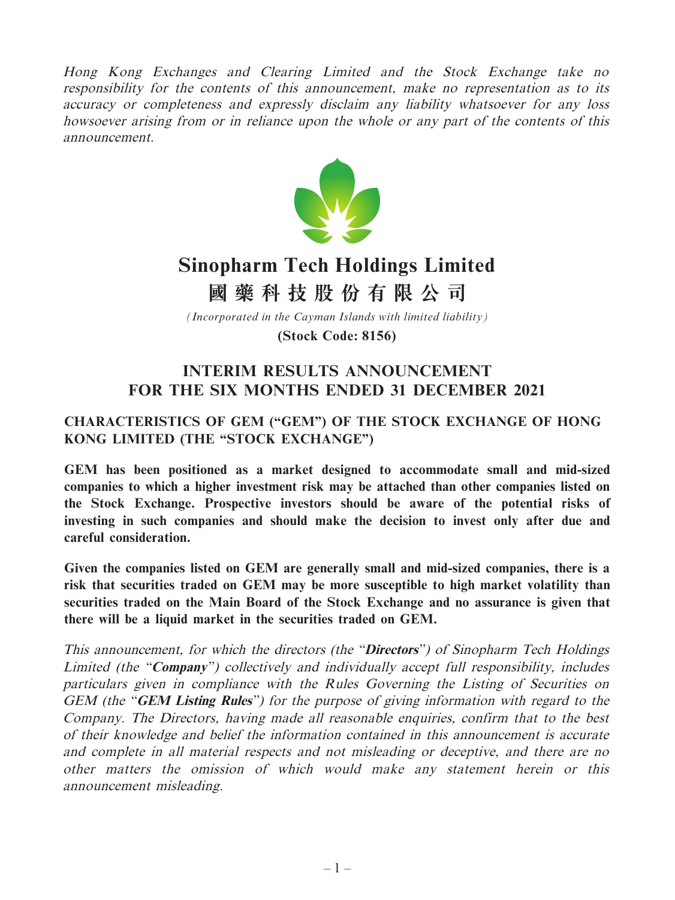Hong Kong Exchanges and Clearing Limited and the Stock Exchange take no responsibility for the contents of this announcement, make no representation as to its accuracy or completeness and expressly disclaim any liability whatsoever for any loss howsoever arising from or in reliance upon the whole or any part of the contents of this announcement.



# **Sinopharm Tech Holdings Limited**

**國藥科技股份有限公司**

*(Incorporated in the Cayman Islands with limited liability)*

**(Stock Code: 8156)**

# **INTERIM RESULTS ANNOUNCEMENT FOR THE SIX MONTHS ENDED 31 DECEMBER 2021**

# **CHARACTERISTICS OF GEM ("GEM") OF THE STOCK EXCHANGE OF HONG KONG LIMITED (THE "STOCK EXCHANGE")**

**GEM has been positioned as a market designed to accommodate small and mid-sized companies to which a higher investment risk may be attached than other companies listed on the Stock Exchange. Prospective investors should be aware of the potential risks of investing in such companies and should make the decision to invest only after due and careful consideration.**

**Given the companies listed on GEM are generally small and mid-sized companies, there is a risk that securities traded on GEM may be more susceptible to high market volatility than securities traded on the Main Board of the Stock Exchange and no assurance is given that there will be a liquid market in the securities traded on GEM.**

This announcement, for which the directors (the "**Directors**") of Sinopharm Tech Holdings Limited (the "**Company**") collectively and individually accept full responsibility, includes particulars given in compliance with the Rules Governing the Listing of Securities on GEM (the "**GEM Listing Rules**") for the purpose of giving information with regard to the Company. The Directors, having made all reasonable enquiries, confirm that to the best of their knowledge and belief the information contained in this announcement is accurate and complete in all material respects and not misleading or deceptive, and there are no other matters the omission of which would make any statement herein or this announcement misleading.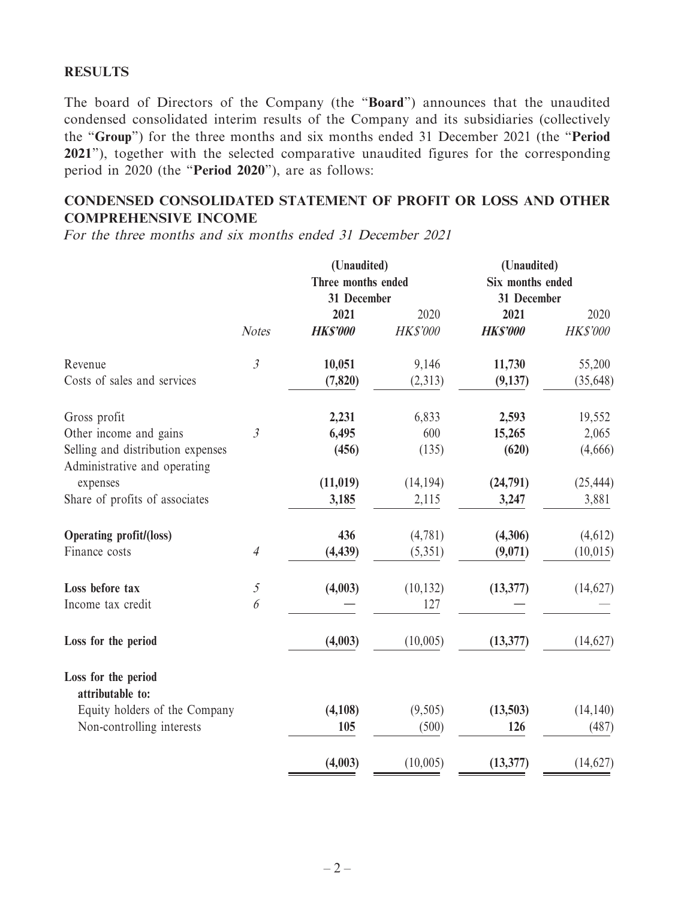### **RESULTS**

The board of Directors of the Company (the "**Board**") announces that the unaudited condensed consolidated interim results of the Company and its subsidiaries (collectively the "**Group**") for the three months and six months ended 31 December 2021 (the "**Period 2021**"), together with the selected comparative unaudited figures for the corresponding period in 2020 (the "**Period 2020**"), are as follows:

# **CONDENSED CONSOLIDATED STATEMENT OF PROFIT OR LOSS AND OTHER COMPREHENSIVE INCOME**

For the three months and six months ended 31 December 2021

|                                                                   |                       | (Unaudited)        |                 | (Unaudited)      |                 |  |
|-------------------------------------------------------------------|-----------------------|--------------------|-----------------|------------------|-----------------|--|
|                                                                   |                       | Three months ended |                 | Six months ended |                 |  |
|                                                                   |                       | 31 December        |                 | 31 December      |                 |  |
|                                                                   |                       | 2021               | 2020            | 2021             | 2020            |  |
|                                                                   | <b>Notes</b>          | <b>HK\$'000</b>    | <b>HK\$'000</b> | <b>HK\$'000</b>  | <b>HK\$'000</b> |  |
| Revenue                                                           | $\mathfrak{Z}$        | 10,051             | 9,146           | 11,730           | 55,200          |  |
| Costs of sales and services                                       |                       | (7, 820)           | (2,313)         | (9,137)          | (35, 648)       |  |
| Gross profit                                                      |                       | 2,231              | 6,833           | 2,593            | 19,552          |  |
| Other income and gains                                            | $\mathfrak{Z}$        | 6,495              | 600             | 15,265           | 2,065           |  |
| Selling and distribution expenses<br>Administrative and operating |                       | (456)              | (135)           | (620)            | (4,666)         |  |
| expenses                                                          |                       | (11, 019)          | (14, 194)       | (24,791)         | (25, 444)       |  |
| Share of profits of associates                                    |                       | 3,185              | 2,115           | 3,247            | 3,881           |  |
| <b>Operating profit/(loss)</b>                                    |                       | 436                | (4,781)         | (4,306)          | (4,612)         |  |
| Finance costs                                                     | $\overline{4}$        | (4, 439)           | (5,351)         | (9,071)          | (10, 015)       |  |
| Loss before tax                                                   | $\sqrt{2}$            | (4,003)            | (10, 132)       | (13, 377)        | (14,627)        |  |
| Income tax credit                                                 | $\boldsymbol{\delta}$ |                    | 127             |                  |                 |  |
| Loss for the period                                               |                       | (4,003)            | (10,005)        | (13, 377)        | (14, 627)       |  |
| Loss for the period<br>attributable to:                           |                       |                    |                 |                  |                 |  |
| Equity holders of the Company                                     |                       | (4,108)            | (9,505)         | (13,503)         | (14, 140)       |  |
| Non-controlling interests                                         |                       | 105                | (500)           | 126              | (487)           |  |
|                                                                   |                       | (4,003)            | (10,005)        | (13, 377)        | (14, 627)       |  |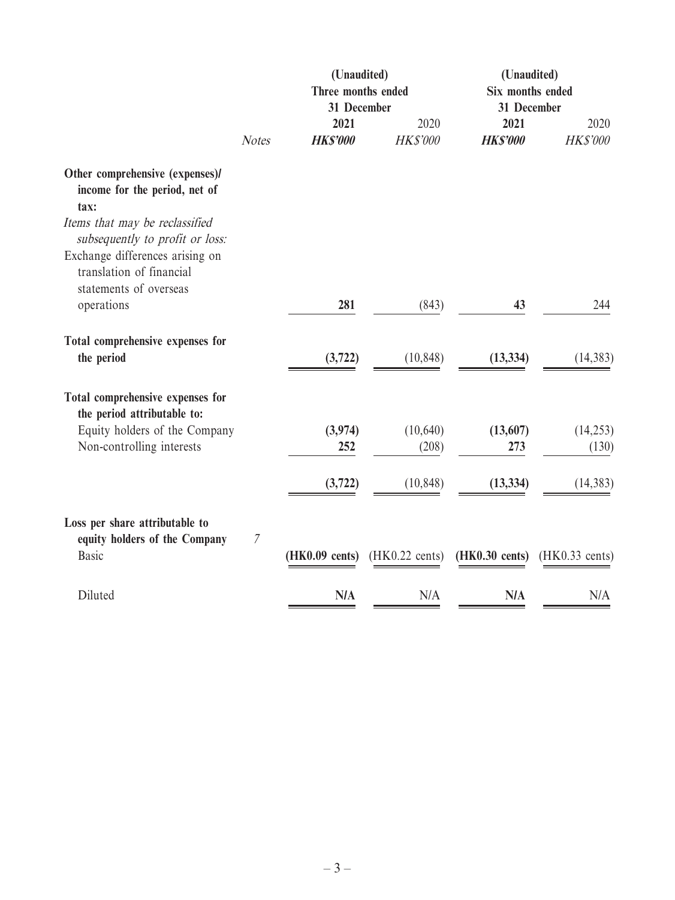|                                                                                       | (Unaudited)<br>Three months ended<br>31 December |                          |                          | (Unaudited)<br>Six months ended<br>31 December |                          |
|---------------------------------------------------------------------------------------|--------------------------------------------------|--------------------------|--------------------------|------------------------------------------------|--------------------------|
|                                                                                       | <b>Notes</b>                                     | 2021<br><b>HKS'000</b>   | 2020<br><b>HK\$'000</b>  | 2021<br><b>HKS'000</b>                         | 2020<br><b>HK\$'000</b>  |
| Other comprehensive (expenses)/<br>income for the period, net of<br>tax:              |                                                  |                          |                          |                                                |                          |
| Items that may be reclassified<br>subsequently to profit or loss:                     |                                                  |                          |                          |                                                |                          |
| Exchange differences arising on<br>translation of financial<br>statements of overseas |                                                  |                          |                          |                                                |                          |
| operations                                                                            |                                                  | 281                      | (843)                    | 43                                             | 244                      |
| Total comprehensive expenses for<br>the period                                        |                                                  | (3, 722)                 | (10, 848)                | (13, 334)                                      | (14, 383)                |
| Total comprehensive expenses for<br>the period attributable to:                       |                                                  |                          |                          |                                                |                          |
| Equity holders of the Company<br>Non-controlling interests                            |                                                  | (3,974)<br>252           | (10,640)<br>(208)        | (13,607)<br>273                                | (14, 253)<br>(130)       |
|                                                                                       |                                                  | (3,722)                  | (10, 848)                | (13, 334)                                      | (14, 383)                |
| Loss per share attributable to<br>equity holders of the Company                       | $\mathcal I$                                     |                          |                          |                                                |                          |
| <b>Basic</b>                                                                          |                                                  | $(HK0.09 \text{ cents})$ | $(HK0.22 \text{ cents})$ | $(HK0.30 \text{ cents})$                       | $(HK0.33 \text{ cents})$ |
| Diluted                                                                               |                                                  | <b>N/A</b>               | N/A                      | <b>N/A</b>                                     | N/A                      |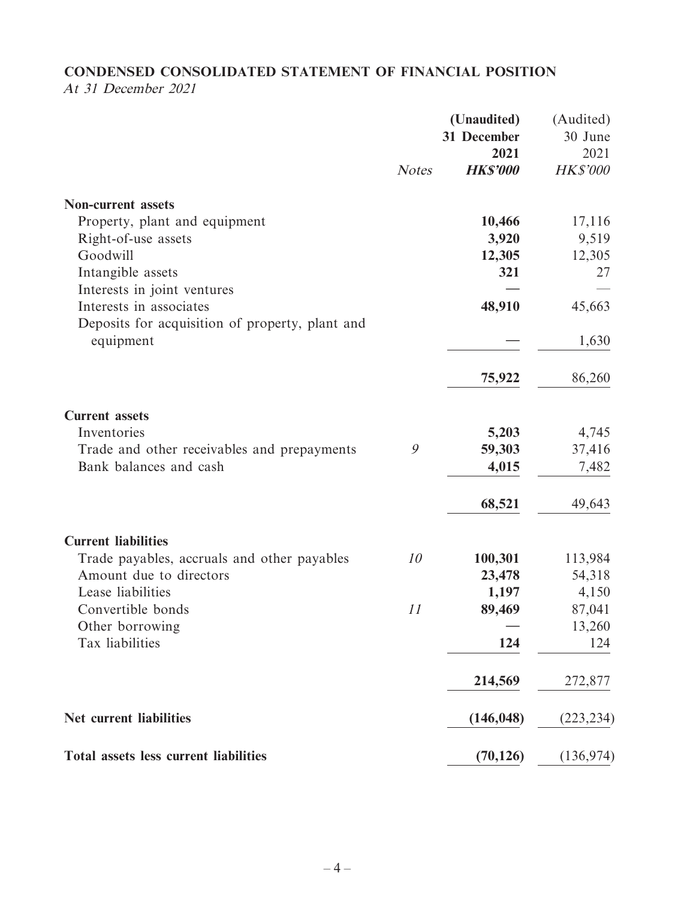# **CONDENSED CONSOLIDATED STATEMENT OF FINANCIAL POSITION**

At 31 December 2021

|                                                 | <b>Notes</b> | (Unaudited)<br>31 December<br>2021<br><b>HK\$'000</b> | (Audited)<br>30 June<br>2021<br><b>HK\$'000</b> |
|-------------------------------------------------|--------------|-------------------------------------------------------|-------------------------------------------------|
|                                                 |              |                                                       |                                                 |
| <b>Non-current assets</b>                       |              |                                                       |                                                 |
| Property, plant and equipment                   |              | 10,466                                                | 17,116                                          |
| Right-of-use assets                             |              | 3,920                                                 | 9,519                                           |
| Goodwill                                        |              | 12,305                                                | 12,305                                          |
| Intangible assets                               |              | 321                                                   | 27                                              |
| Interests in joint ventures                     |              |                                                       |                                                 |
| Interests in associates                         |              | 48,910                                                | 45,663                                          |
| Deposits for acquisition of property, plant and |              |                                                       |                                                 |
| equipment                                       |              |                                                       | 1,630                                           |
|                                                 |              | 75,922                                                | 86,260                                          |
| <b>Current assets</b>                           |              |                                                       |                                                 |
| Inventories                                     |              | 5,203                                                 | 4,745                                           |
| Trade and other receivables and prepayments     | 9            | 59,303                                                | 37,416                                          |
| Bank balances and cash                          |              | 4,015                                                 | 7,482                                           |
|                                                 |              | 68,521                                                | 49,643                                          |
| <b>Current liabilities</b>                      |              |                                                       |                                                 |
| Trade payables, accruals and other payables     | 10           | 100,301                                               | 113,984                                         |
| Amount due to directors                         |              | 23,478                                                | 54,318                                          |
| Lease liabilities                               |              | 1,197                                                 | 4,150                                           |
| Convertible bonds                               | 11           | 89,469                                                | 87,041                                          |
| Other borrowing                                 |              |                                                       | 13,260                                          |
| Tax liabilities                                 |              | 124                                                   | 124                                             |
|                                                 |              | 214,569                                               | 272,877                                         |
| <b>Net current liabilities</b>                  |              | (146, 048)                                            | (223, 234)                                      |
| <b>Total assets less current liabilities</b>    |              | (70, 126)                                             | (136, 974)                                      |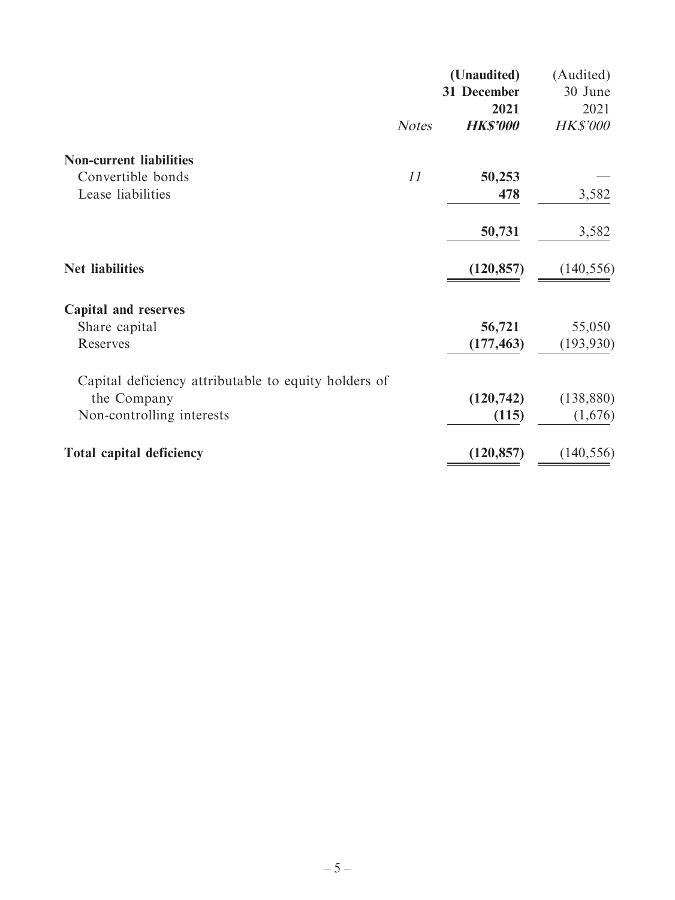|                                                      |              | (Unaudited)     | (Audited)       |
|------------------------------------------------------|--------------|-----------------|-----------------|
|                                                      |              | 31 December     | 30 June         |
|                                                      |              | 2021            | 2021            |
|                                                      | <b>Notes</b> | <b>HK\$'000</b> | <b>HK\$'000</b> |
| <b>Non-current liabilities</b>                       |              |                 |                 |
| Convertible bonds                                    | 11           | 50,253          |                 |
| Lease liabilities                                    |              | 478             | 3,582           |
|                                                      |              | 50,731          | 3,582           |
| <b>Net liabilities</b>                               |              | (120, 857)      | (140, 556)      |
| <b>Capital and reserves</b>                          |              |                 |                 |
| Share capital                                        |              | 56,721          | 55,050          |
| Reserves                                             |              | (177, 463)      | (193, 930)      |
| Capital deficiency attributable to equity holders of |              |                 |                 |
| the Company                                          |              | (120, 742)      | (138, 880)      |
| Non-controlling interests                            |              | (115)           | (1,676)         |
| <b>Total capital deficiency</b>                      |              | (120, 857)      | (140, 556)      |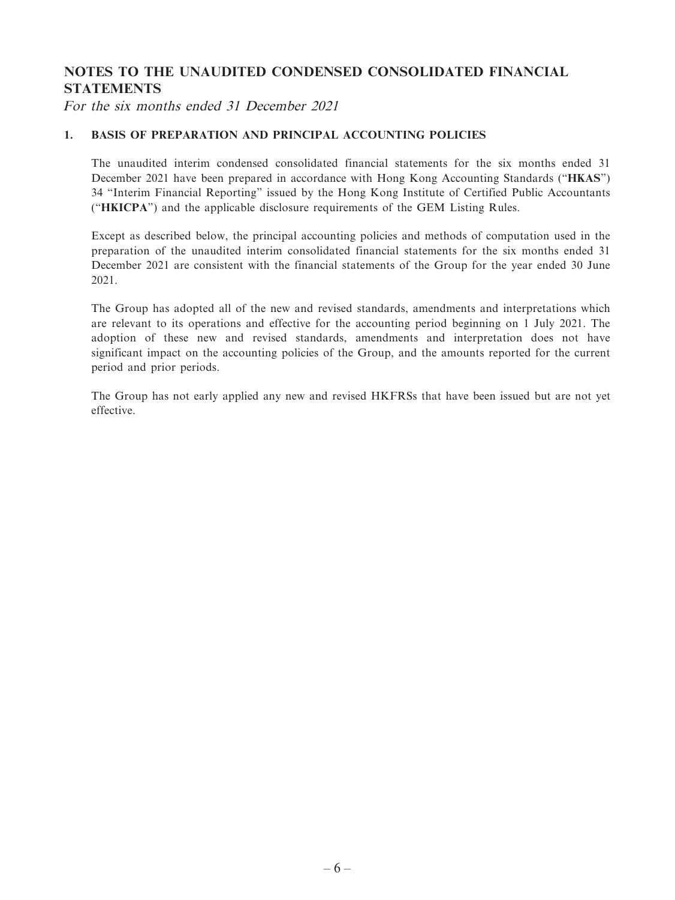### **NOTES TO THE UNAUDITED CONDENSED CONSOLIDATED FINANCIAL STATEMENTS**

For the six months ended 31 December 2021

#### **1. BASIS OF PREPARATION AND PRINCIPAL ACCOUNTING POLICIES**

The unaudited interim condensed consolidated financial statements for the six months ended 31 December 2021 have been prepared in accordance with Hong Kong Accounting Standards ("**HKAS**") 34 "Interim Financial Reporting" issued by the Hong Kong Institute of Certified Public Accountants ("**HKICPA**") and the applicable disclosure requirements of the GEM Listing Rules.

Except as described below, the principal accounting policies and methods of computation used in the preparation of the unaudited interim consolidated financial statements for the six months ended 31 December 2021 are consistent with the financial statements of the Group for the year ended 30 June 2021.

The Group has adopted all of the new and revised standards, amendments and interpretations which are relevant to its operations and effective for the accounting period beginning on 1 July 2021. The adoption of these new and revised standards, amendments and interpretation does not have significant impact on the accounting policies of the Group, and the amounts reported for the current period and prior periods.

The Group has not early applied any new and revised HKFRSs that have been issued but are not yet effective.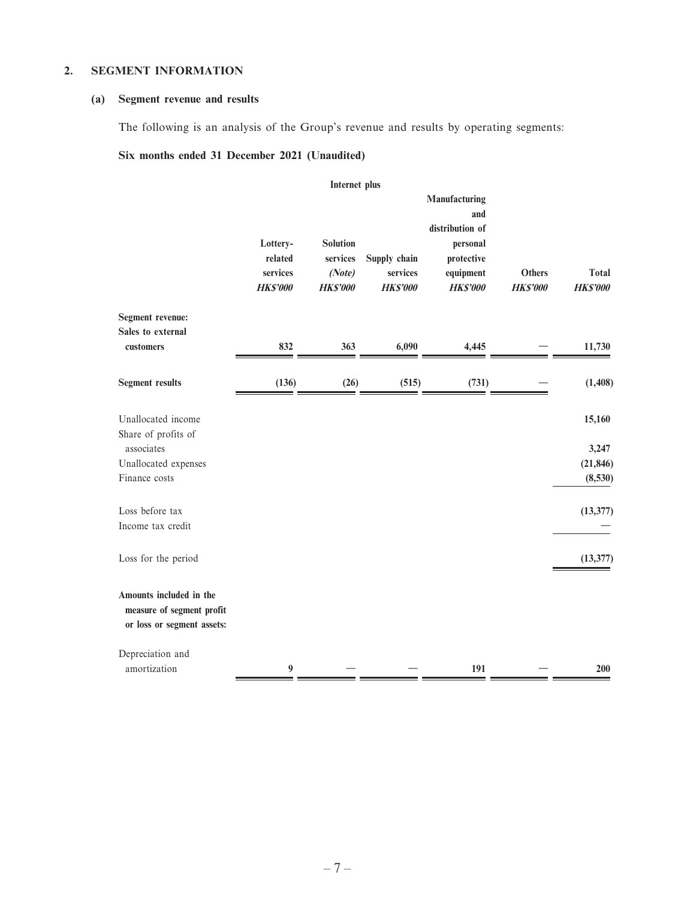#### **2. SEGMENT INFORMATION**

#### **(a) Segment revenue and results**

The following is an analysis of the Group's revenue and results by operating segments:

#### **Six months ended 31 December 2021 (Unaudited)**

|                                                                                    |                                                    | Internet plus                                            |                                             |                                                                                                   |                                  |                              |
|------------------------------------------------------------------------------------|----------------------------------------------------|----------------------------------------------------------|---------------------------------------------|---------------------------------------------------------------------------------------------------|----------------------------------|------------------------------|
|                                                                                    | Lottery-<br>related<br>services<br><b>HK\$'000</b> | <b>Solution</b><br>services<br>(Note)<br><b>HK\$'000</b> | Supply chain<br>services<br><b>HK\$'000</b> | Manufacturing<br>and<br>distribution of<br>personal<br>protective<br>equipment<br><b>HK\$'000</b> | <b>Others</b><br><b>HK\$'000</b> | Total<br><b>HK\$'000</b>     |
| <b>Segment revenue:</b>                                                            |                                                    |                                                          |                                             |                                                                                                   |                                  |                              |
| Sales to external<br>customers                                                     | 832                                                | 363                                                      | 6,090                                       | 4,445                                                                                             |                                  | 11,730                       |
| <b>Segment results</b>                                                             | (136)                                              | (26)                                                     | (515)                                       | (731)                                                                                             |                                  | (1,408)                      |
| Unallocated income<br>Share of profits of<br>associates<br>Unallocated expenses    |                                                    |                                                          |                                             |                                                                                                   |                                  | 15,160<br>3,247<br>(21, 846) |
| Finance costs                                                                      |                                                    |                                                          |                                             |                                                                                                   |                                  | (8,530)                      |
| Loss before tax<br>Income tax credit                                               |                                                    |                                                          |                                             |                                                                                                   |                                  | (13, 377)                    |
| Loss for the period                                                                |                                                    |                                                          |                                             |                                                                                                   |                                  | (13, 377)                    |
| Amounts included in the<br>measure of segment profit<br>or loss or segment assets: |                                                    |                                                          |                                             |                                                                                                   |                                  |                              |
| Depreciation and<br>amortization                                                   | $\boldsymbol{9}$                                   |                                                          |                                             | 191                                                                                               |                                  | 200                          |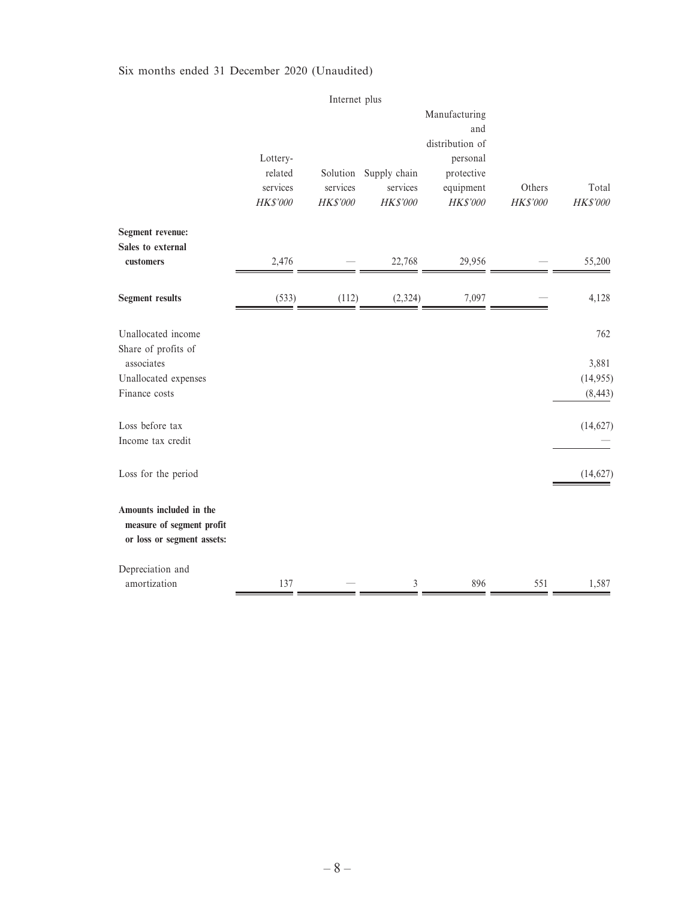#### Six months ended 31 December 2020 (Unaudited)

|                                                                                                  |                                             | Internet plus                    |                                      |                                                                                                   |                    |                                      |
|--------------------------------------------------------------------------------------------------|---------------------------------------------|----------------------------------|--------------------------------------|---------------------------------------------------------------------------------------------------|--------------------|--------------------------------------|
|                                                                                                  | Lottery-<br>related<br>services<br>HK\$'000 | Solution<br>services<br>HK\$'000 | Supply chain<br>services<br>HK\$'000 | Manufacturing<br>and<br>distribution of<br>personal<br>protective<br>equipment<br><b>HK\$'000</b> | Others<br>HK\$'000 | Total<br><b>HK\$'000</b>             |
| Segment revenue:<br>Sales to external<br>customers                                               | 2,476                                       |                                  | 22,768                               | 29,956                                                                                            |                    | 55,200                               |
| <b>Segment results</b>                                                                           | (533)                                       | (112)                            | (2, 324)                             | 7,097                                                                                             |                    | 4,128                                |
| Unallocated income<br>Share of profits of<br>associates<br>Unallocated expenses<br>Finance costs |                                             |                                  |                                      |                                                                                                   |                    | 762<br>3,881<br>(14,955)<br>(8, 443) |
| Loss before tax<br>Income tax credit                                                             |                                             |                                  |                                      |                                                                                                   |                    | (14, 627)                            |
| Loss for the period                                                                              |                                             |                                  |                                      |                                                                                                   |                    | (14, 627)                            |
| Amounts included in the<br>measure of segment profit<br>or loss or segment assets:               |                                             |                                  |                                      |                                                                                                   |                    |                                      |
| Depreciation and<br>amortization                                                                 | 137                                         |                                  | $\mathfrak{Z}$                       | 896                                                                                               | 551                | 1,587                                |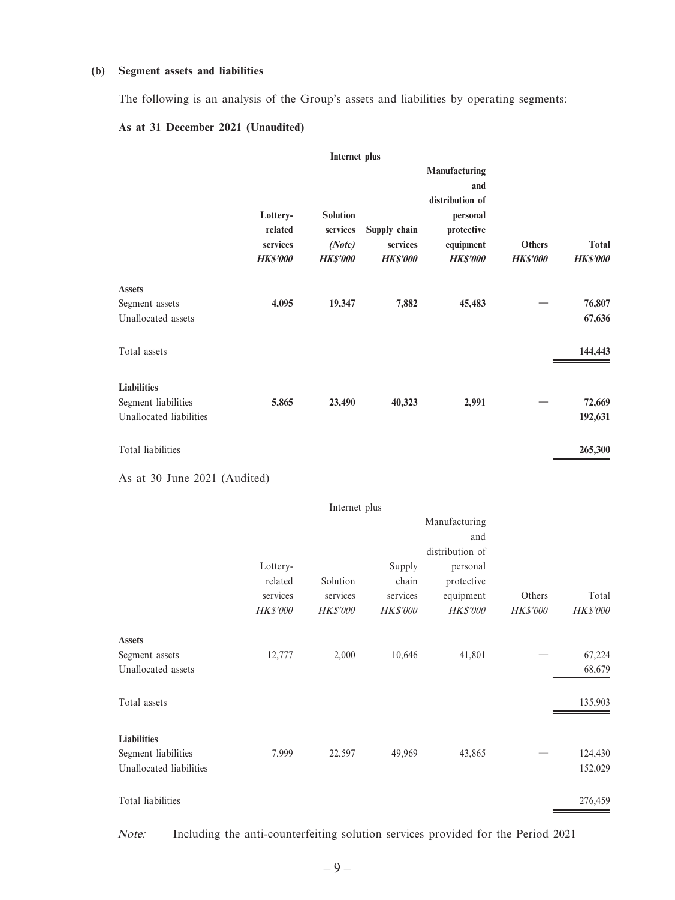#### **(b) Segment assets and liabilities**

The following is an analysis of the Group's assets and liabilities by operating segments:

#### **As at 31 December 2021 (Unaudited)**

|                                                                      |                                                    | Internet plus                                            |                                             |                                                                                                   |                                  |                                 |
|----------------------------------------------------------------------|----------------------------------------------------|----------------------------------------------------------|---------------------------------------------|---------------------------------------------------------------------------------------------------|----------------------------------|---------------------------------|
|                                                                      | Lottery-<br>related<br>services<br><b>HK\$'000</b> | <b>Solution</b><br>services<br>(Note)<br><b>HK\$'000</b> | Supply chain<br>services<br><b>HK\$'000</b> | Manufacturing<br>and<br>distribution of<br>personal<br>protective<br>equipment<br><b>HK\$'000</b> | <b>Others</b><br><b>HK\$'000</b> | <b>Total</b><br><b>HK\$'000</b> |
| <b>Assets</b><br>Segment assets<br>Unallocated assets                | 4,095                                              | 19,347                                                   | 7,882                                       | 45,483                                                                                            |                                  | 76,807<br>67,636                |
| Total assets                                                         |                                                    |                                                          |                                             |                                                                                                   |                                  | 144,443                         |
| <b>Liabilities</b><br>Segment liabilities<br>Unallocated liabilities | 5,865                                              | 23,490                                                   | 40,323                                      | 2,991                                                                                             |                                  | 72,669<br>192,631               |
| Total liabilities                                                    |                                                    |                                                          |                                             |                                                                                                   |                                  | 265,300                         |

As at 30 June 2021 (Audited)

|                                                       |                                             | Internet plus                           |                                         |                                                                    |                    |                          |
|-------------------------------------------------------|---------------------------------------------|-----------------------------------------|-----------------------------------------|--------------------------------------------------------------------|--------------------|--------------------------|
|                                                       |                                             |                                         |                                         | Manufacturing<br>and                                               |                    |                          |
|                                                       | Lottery-<br>related<br>services<br>HK\$'000 | Solution<br>services<br><b>HK\$'000</b> | Supply<br>chain<br>services<br>HK\$'000 | distribution of<br>personal<br>protective<br>equipment<br>HK\$'000 | Others<br>HK\$'000 | Total<br><b>HK\$'000</b> |
|                                                       |                                             |                                         |                                         |                                                                    |                    |                          |
| <b>Assets</b><br>Segment assets<br>Unallocated assets | 12,777                                      | 2,000                                   | 10,646                                  | 41,801                                                             |                    | 67,224<br>68,679         |
| Total assets                                          |                                             |                                         |                                         |                                                                    |                    | 135,903                  |
| <b>Liabilities</b>                                    |                                             |                                         |                                         |                                                                    |                    |                          |
| Segment liabilities<br>Unallocated liabilities        | 7,999                                       | 22,597                                  | 49,969                                  | 43,865                                                             |                    | 124,430<br>152,029       |
| Total liabilities                                     |                                             |                                         |                                         |                                                                    |                    | 276,459                  |

Note: Including the anti-counterfeiting solution services provided for the Period 2021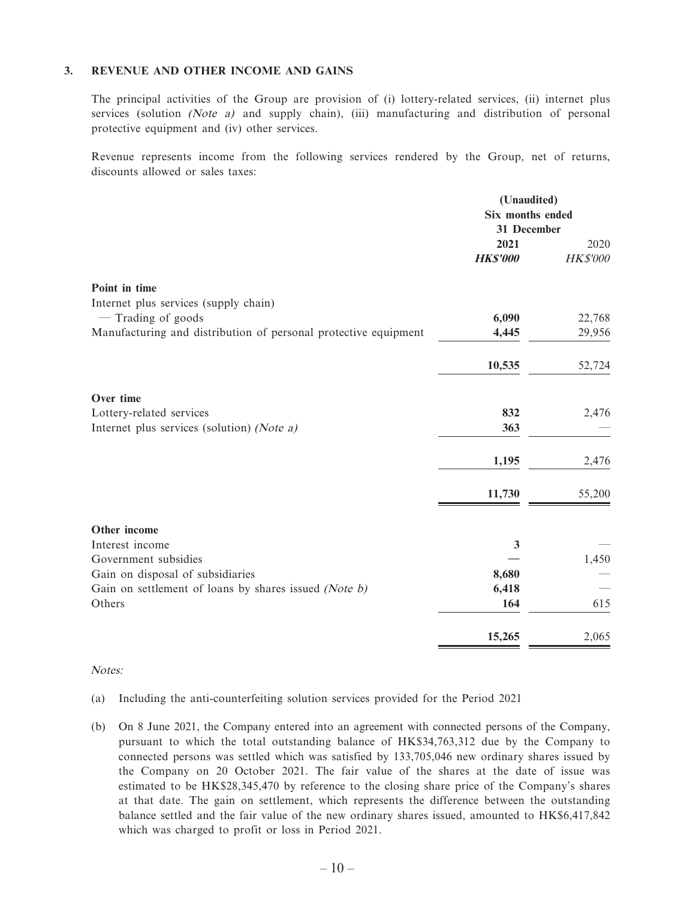#### **3. REVENUE AND OTHER INCOME AND GAINS**

The principal activities of the Group are provision of (i) lottery-related services, (ii) internet plus services (solution (Note a) and supply chain), (iii) manufacturing and distribution of personal protective equipment and (iv) other services.

Revenue represents income from the following services rendered by the Group, net of returns, discounts allowed or sales taxes:

|                                                                 | (Unaudited)<br>Six months ended<br>31 December |                 |
|-----------------------------------------------------------------|------------------------------------------------|-----------------|
|                                                                 | 2021                                           | 2020            |
|                                                                 | <b>HK\$'000</b>                                | <b>HK\$'000</b> |
| Point in time                                                   |                                                |                 |
| Internet plus services (supply chain)                           |                                                |                 |
| $-$ Trading of goods                                            | 6,090                                          | 22,768          |
| Manufacturing and distribution of personal protective equipment | 4,445                                          | 29,956          |
|                                                                 | 10,535                                         | 52,724          |
| Over time                                                       |                                                |                 |
| Lottery-related services                                        | 832                                            | 2,476           |
| Internet plus services (solution) (Note a)                      | 363                                            |                 |
|                                                                 | 1,195                                          | 2,476           |
|                                                                 | 11,730                                         | 55,200          |
| Other income                                                    |                                                |                 |
| Interest income                                                 | 3                                              |                 |
| Government subsidies                                            |                                                | 1,450           |
| Gain on disposal of subsidiaries                                | 8,680                                          |                 |
| Gain on settlement of loans by shares issued (Note b)           | 6,418                                          |                 |
| Others                                                          | 164                                            | 615             |
|                                                                 | 15,265                                         | 2,065           |

#### Notes:

- (a) Including the anti-counterfeiting solution services provided for the Period 2021
- (b) On 8 June 2021, the Company entered into an agreement with connected persons of the Company, pursuant to which the total outstanding balance of HK\$34,763,312 due by the Company to connected persons was settled which was satisfied by 133,705,046 new ordinary shares issued by the Company on 20 October 2021. The fair value of the shares at the date of issue was estimated to be HK\$28,345,470 by reference to the closing share price of the Company's shares at that date. The gain on settlement, which represents the difference between the outstanding balance settled and the fair value of the new ordinary shares issued, amounted to HK\$6,417,842 which was charged to profit or loss in Period 2021.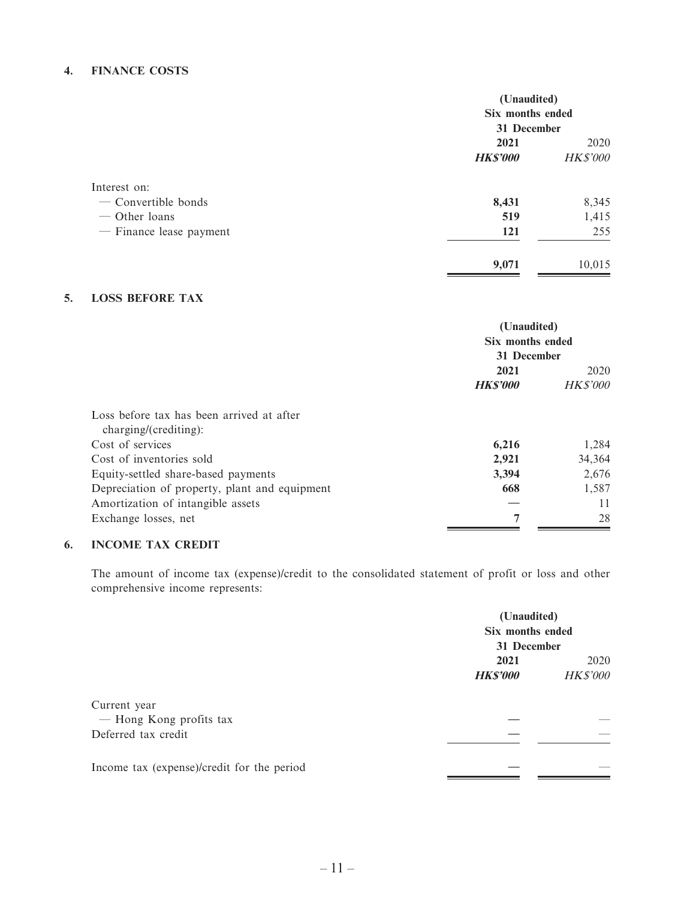#### **4. FINANCE COSTS**

|                                                                                   | (Unaudited)<br>Six months ended<br>31 December |                         |
|-----------------------------------------------------------------------------------|------------------------------------------------|-------------------------|
|                                                                                   | 2021<br><b>HK\$'000</b>                        | 2020<br><b>HK\$'000</b> |
| Interest on:<br>- Convertible bonds<br>$-$ Other loans<br>- Finance lease payment | 8,431<br>519<br><b>121</b>                     | 8,345<br>1,415<br>255   |
|                                                                                   | 9,071                                          | 10,015                  |

#### **5. LOSS BEFORE TAX**

|                                                                    | (Unaudited)<br>Six months ended<br>31 December |                 |
|--------------------------------------------------------------------|------------------------------------------------|-----------------|
|                                                                    | 2021                                           | 2020            |
|                                                                    | <b>HKS'000</b>                                 | <b>HK\$'000</b> |
| Loss before tax has been arrived at after<br>charging/(crediting): |                                                |                 |
| Cost of services                                                   | 6,216                                          | 1,284           |
| Cost of inventories sold                                           | 2,921                                          | 34,364          |
| Equity-settled share-based payments                                | 3,394                                          | 2,676           |
| Depreciation of property, plant and equipment                      | 668                                            | 1,587           |
| Amortization of intangible assets                                  |                                                | 11              |
| Exchange losses, net                                               | 7                                              | 28              |

#### **6. INCOME TAX CREDIT**

The amount of income tax (expense)/credit to the consolidated statement of profit or loss and other comprehensive income represents:

|                                            | (Unaudited)                     |          |  |
|--------------------------------------------|---------------------------------|----------|--|
|                                            | Six months ended<br>31 December |          |  |
|                                            |                                 |          |  |
|                                            | 2021                            | 2020     |  |
|                                            | <b>HK\$'000</b>                 | HK\$'000 |  |
| Current year                               |                                 |          |  |
| - Hong Kong profits tax                    |                                 |          |  |
| Deferred tax credit                        |                                 |          |  |
| Income tax (expense)/credit for the period |                                 |          |  |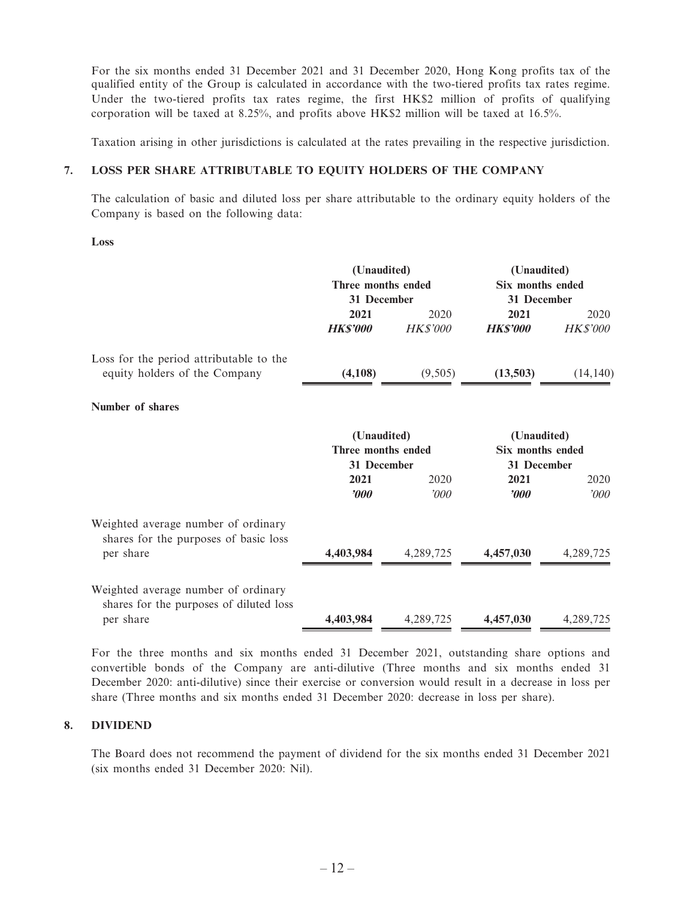For the six months ended 31 December 2021 and 31 December 2020, Hong Kong profits tax of the qualified entity of the Group is calculated in accordance with the two-tiered profits tax rates regime. Under the two-tiered profits tax rates regime, the first HK\$2 million of profits of qualifying corporation will be taxed at 8.25%, and profits above HK\$2 million will be taxed at 16.5%.

Taxation arising in other jurisdictions is calculated at the rates prevailing in the respective jurisdiction.

#### **7. LOSS PER SHARE ATTRIBUTABLE TO EQUITY HOLDERS OF THE COMPANY**

The calculation of basic and diluted loss per share attributable to the ordinary equity holders of the Company is based on the following data:

 **Loss**

|                                                                              | (Unaudited)                       |                 | (Unaudited)                 |           |
|------------------------------------------------------------------------------|-----------------------------------|-----------------|-----------------------------|-----------|
|                                                                              | Three months ended<br>31 December |                 | <b>Six months ended</b>     |           |
|                                                                              | 2021                              | 2020            | 31 December<br>2021<br>2020 |           |
|                                                                              | <b>HK\$'000</b>                   | <b>HK\$'000</b> | <b>HKS'000</b>              | HK\$'000  |
| Loss for the period attributable to the                                      |                                   |                 |                             |           |
| equity holders of the Company                                                | (4,108)                           | (9,505)         | (13,503)                    | (14, 140) |
| Number of shares                                                             |                                   |                 |                             |           |
|                                                                              | (Unaudited)                       |                 | (Unaudited)                 |           |
|                                                                              | Three months ended                |                 | <b>Six months ended</b>     |           |
|                                                                              | 31 December<br>2021               | 2020            | 31 December<br>2021         | 2020      |
|                                                                              | 2000                              | '000            | <b><i>rooo</i></b>          | 000'      |
| Weighted average number of ordinary<br>shares for the purposes of basic loss |                                   |                 |                             |           |
| per share                                                                    | 4,403,984                         | 4,289,725       | 4,457,030                   | 4,289,725 |
| Weighted average number of ordinary                                          |                                   |                 |                             |           |
| shares for the purposes of diluted loss                                      |                                   |                 |                             |           |
| per share                                                                    | 4,403,984                         | 4,289,725       | 4,457,030                   | 4,289,725 |

For the three months and six months ended 31 December 2021, outstanding share options and convertible bonds of the Company are anti-dilutive (Three months and six months ended 31 December 2020: anti-dilutive) since their exercise or conversion would result in a decrease in loss per share (Three months and six months ended 31 December 2020: decrease in loss per share).

#### **8. DIVIDEND**

The Board does not recommend the payment of dividend for the six months ended 31 December 2021 (six months ended 31 December 2020: Nil).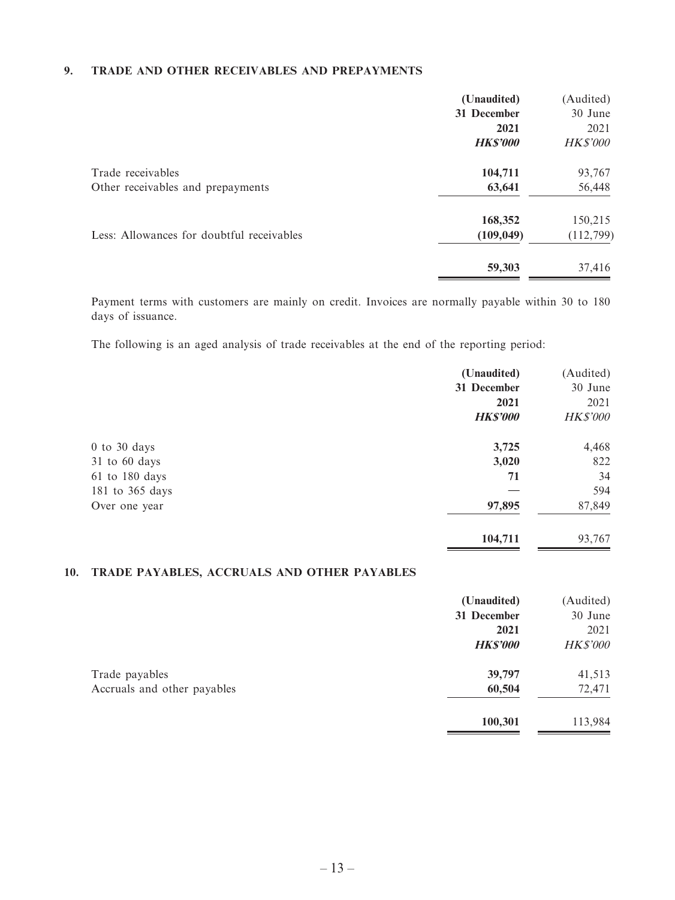#### **9. TRADE AND OTHER RECEIVABLES AND PREPAYMENTS**

|                                                        | (Unaudited)<br>31 December<br>2021<br><b>HK\$'000</b> | (Audited)<br>30 June<br>2021<br><b>HK\$'000</b> |
|--------------------------------------------------------|-------------------------------------------------------|-------------------------------------------------|
| Trade receivables<br>Other receivables and prepayments | 104,711<br>63,641                                     | 93,767<br>56,448                                |
| Less: Allowances for doubtful receivables              | 168,352<br>(109, 049)                                 | 150,215<br>(112, 799)                           |
|                                                        | 59,303                                                | 37,416                                          |

Payment terms with customers are mainly on credit. Invoices are normally payable within 30 to 180 days of issuance.

The following is an aged analysis of trade receivables at the end of the reporting period:

|                    | (Unaudited)     | (Audited)       |
|--------------------|-----------------|-----------------|
|                    | 31 December     | 30 June         |
|                    | 2021            | 2021            |
|                    | <b>HK\$'000</b> | <b>HK\$'000</b> |
| $0$ to $30$ days   | 3,725           | 4,468           |
| 31 to 60 days      | 3,020           | 822             |
| $61$ to $180$ days | 71              | 34              |
| 181 to 365 days    |                 | 594             |
| Over one year      | 97,895          | 87,849          |
|                    | 104,711         | 93,767          |

# **10. TRADE PAYABLES, ACCRUALS AND OTHER PAYABLES**

|                             | (Unaudited)     | (Audited)       |
|-----------------------------|-----------------|-----------------|
|                             | 31 December     | 30 June         |
|                             | 2021            | 2021            |
|                             | <b>HK\$'000</b> | <b>HK\$'000</b> |
| Trade payables              | 39,797          | 41,513          |
| Accruals and other payables | 60,504          | 72,471          |
|                             | 100,301         | 113,984         |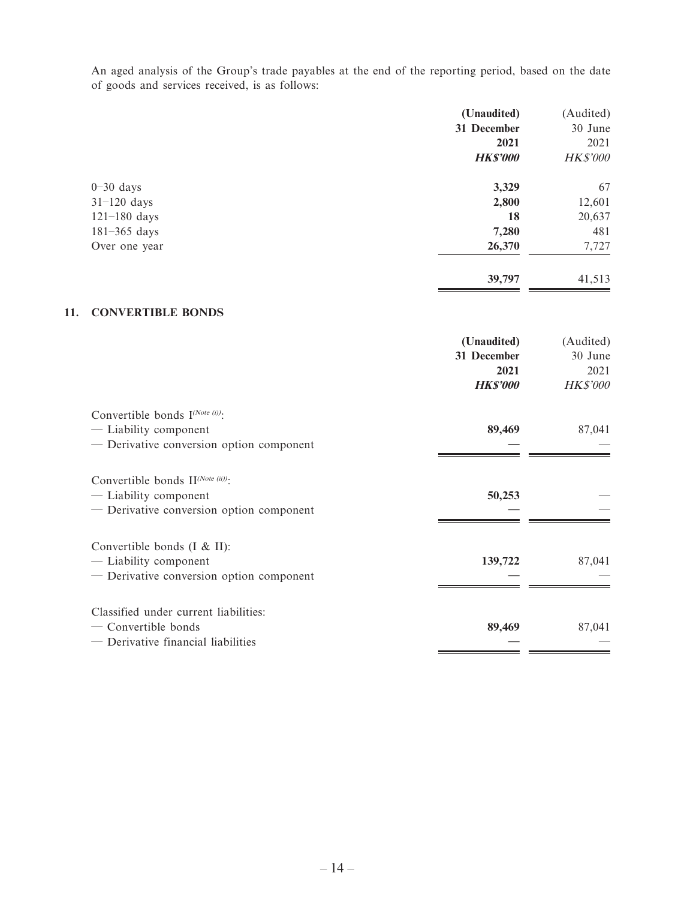An aged analysis of the Group's trade payables at the end of the reporting period, based on the date of goods and services received, is as follows:

|                  | (Unaudited)    | (Audited)       |
|------------------|----------------|-----------------|
|                  | 31 December    | 30 June         |
|                  | 2021           | 2021            |
|                  | <b>HKS'000</b> | <b>HK\$'000</b> |
| $0-30$ days      | 3,329          | 67              |
| $31-120$ days    | 2,800          | 12,601          |
| $121 - 180$ days | 18             | 20,637          |
| $181 - 365$ days | 7,280          | 481             |
| Over one year    | 26,370         | 7,727           |
|                  | 39,797         | 41,513          |

#### **11. CONVERTIBLE BONDS**

|                                                                                                           | (Unaudited)<br>31 December<br>2021<br><b>HKS'000</b> | (Audited)<br>30 June<br>2021<br><b>HK\$'000</b> |
|-----------------------------------------------------------------------------------------------------------|------------------------------------------------------|-------------------------------------------------|
| Convertible bonds $I^{(Note (i))}$ :<br>- Liability component<br>— Derivative conversion option component | 89,469                                               | 87,041                                          |
| Convertible bonds II(Note (ii)):<br>- Liability component<br>- Derivative conversion option component     | 50,253                                               |                                                 |
| Convertible bonds $(I & I)$ :<br>— Liability component<br>- Derivative conversion option component        | 139,722                                              | 87,041                                          |
| Classified under current liabilities:<br>$-$ Convertible bonds<br>— Derivative financial liabilities      | 89,469                                               | 87,041                                          |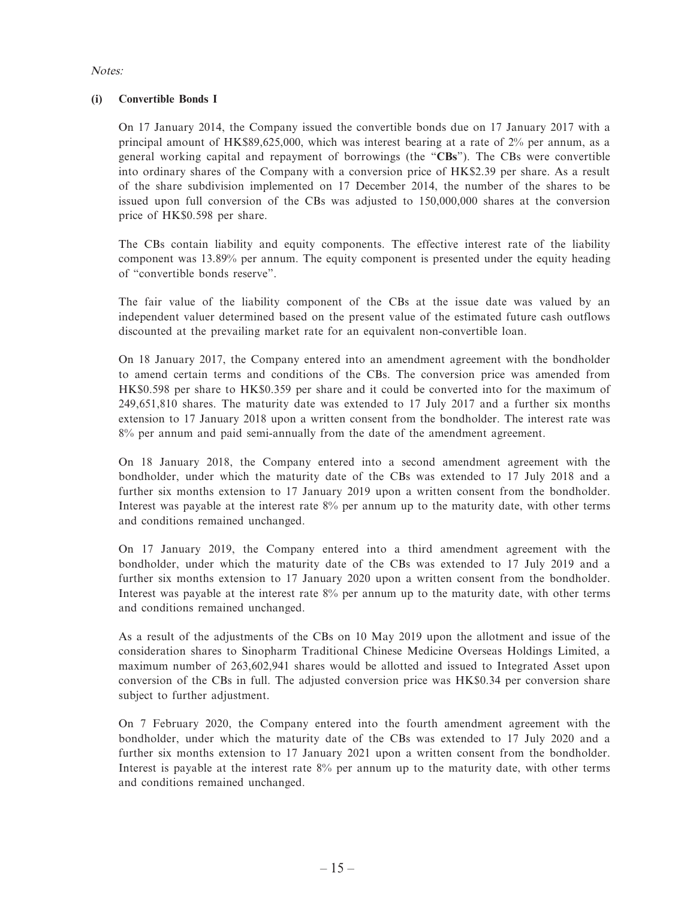#### Notes:

#### **(i) Convertible Bonds I**

On 17 January 2014, the Company issued the convertible bonds due on 17 January 2017 with a principal amount of HK\$89,625,000, which was interest bearing at a rate of 2% per annum, as a general working capital and repayment of borrowings (the "**CBs**"). The CBs were convertible into ordinary shares of the Company with a conversion price of HK\$2.39 per share. As a result of the share subdivision implemented on 17 December 2014, the number of the shares to be issued upon full conversion of the CBs was adjusted to 150,000,000 shares at the conversion price of HK\$0.598 per share.

The CBs contain liability and equity components. The effective interest rate of the liability component was 13.89% per annum. The equity component is presented under the equity heading of "convertible bonds reserve".

The fair value of the liability component of the CBs at the issue date was valued by an independent valuer determined based on the present value of the estimated future cash outflows discounted at the prevailing market rate for an equivalent non-convertible loan.

On 18 January 2017, the Company entered into an amendment agreement with the bondholder to amend certain terms and conditions of the CBs. The conversion price was amended from HK\$0.598 per share to HK\$0.359 per share and it could be converted into for the maximum of 249,651,810 shares. The maturity date was extended to 17 July 2017 and a further six months extension to 17 January 2018 upon a written consent from the bondholder. The interest rate was 8% per annum and paid semi-annually from the date of the amendment agreement.

On 18 January 2018, the Company entered into a second amendment agreement with the bondholder, under which the maturity date of the CBs was extended to 17 July 2018 and a further six months extension to 17 January 2019 upon a written consent from the bondholder. Interest was payable at the interest rate 8% per annum up to the maturity date, with other terms and conditions remained unchanged.

On 17 January 2019, the Company entered into a third amendment agreement with the bondholder, under which the maturity date of the CBs was extended to 17 July 2019 and a further six months extension to 17 January 2020 upon a written consent from the bondholder. Interest was payable at the interest rate 8% per annum up to the maturity date, with other terms and conditions remained unchanged.

As a result of the adjustments of the CBs on 10 May 2019 upon the allotment and issue of the consideration shares to Sinopharm Traditional Chinese Medicine Overseas Holdings Limited, a maximum number of 263,602,941 shares would be allotted and issued to Integrated Asset upon conversion of the CBs in full. The adjusted conversion price was HK\$0.34 per conversion share subject to further adjustment.

On 7 February 2020, the Company entered into the fourth amendment agreement with the bondholder, under which the maturity date of the CBs was extended to 17 July 2020 and a further six months extension to 17 January 2021 upon a written consent from the bondholder. Interest is payable at the interest rate 8% per annum up to the maturity date, with other terms and conditions remained unchanged.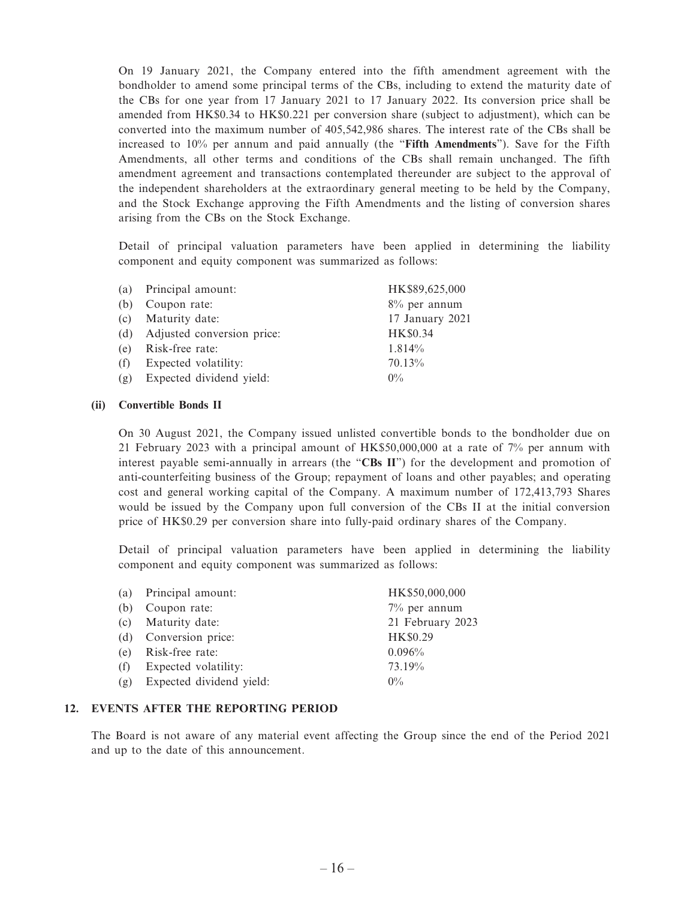On 19 January 2021, the Company entered into the fifth amendment agreement with the bondholder to amend some principal terms of the CBs, including to extend the maturity date of the CBs for one year from 17 January 2021 to 17 January 2022. Its conversion price shall be amended from HK\$0.34 to HK\$0.221 per conversion share (subject to adjustment), which can be converted into the maximum number of 405,542,986 shares. The interest rate of the CBs shall be increased to 10% per annum and paid annually (the "**Fifth Amendments**"). Save for the Fifth Amendments, all other terms and conditions of the CBs shall remain unchanged. The fifth amendment agreement and transactions contemplated thereunder are subject to the approval of the independent shareholders at the extraordinary general meeting to be held by the Company, and the Stock Exchange approving the Fifth Amendments and the listing of conversion shares arising from the CBs on the Stock Exchange.

Detail of principal valuation parameters have been applied in determining the liability component and equity component was summarized as follows:

| (a) | Principal amount:          | HK\$89,625,000  |
|-----|----------------------------|-----------------|
| (b) | Coupon rate:               | $8\%$ per annum |
| (c) | Maturity date:             | 17 January 2021 |
| (d) | Adjusted conversion price: | HK\$0.34        |
| (e) | Risk-free rate:            | 1.814%          |
| (f) | Expected volatility:       | 70.13%          |
| (g) | Expected dividend yield:   | $0\%$           |

#### **(ii) Convertible Bonds II**

On 30 August 2021, the Company issued unlisted convertible bonds to the bondholder due on 21 February 2023 with a principal amount of HK\$50,000,000 at a rate of 7% per annum with interest payable semi-annually in arrears (the "**CBs II**") for the development and promotion of anti-counterfeiting business of the Group; repayment of loans and other payables; and operating cost and general working capital of the Company. A maximum number of 172,413,793 Shares would be issued by the Company upon full conversion of the CBs II at the initial conversion price of HK\$0.29 per conversion share into fully-paid ordinary shares of the Company.

Detail of principal valuation parameters have been applied in determining the liability component and equity component was summarized as follows:

|     | (a) Principal amount:    | HK\$50,000,000   |
|-----|--------------------------|------------------|
| (b) | Coupon rate:             | $7\%$ per annum  |
|     | (c) Maturity date:       | 21 February 2023 |
|     | (d) Conversion price:    | HK\$0.29         |
|     | (e) Risk-free rate:      | 0.096%           |
| (f) | Expected volatility:     | 73.19%           |
| (g) | Expected dividend yield: | $0\%$            |

#### **12. EVENTS AFTER THE REPORTING PERIOD**

The Board is not aware of any material event affecting the Group since the end of the Period 2021 and up to the date of this announcement.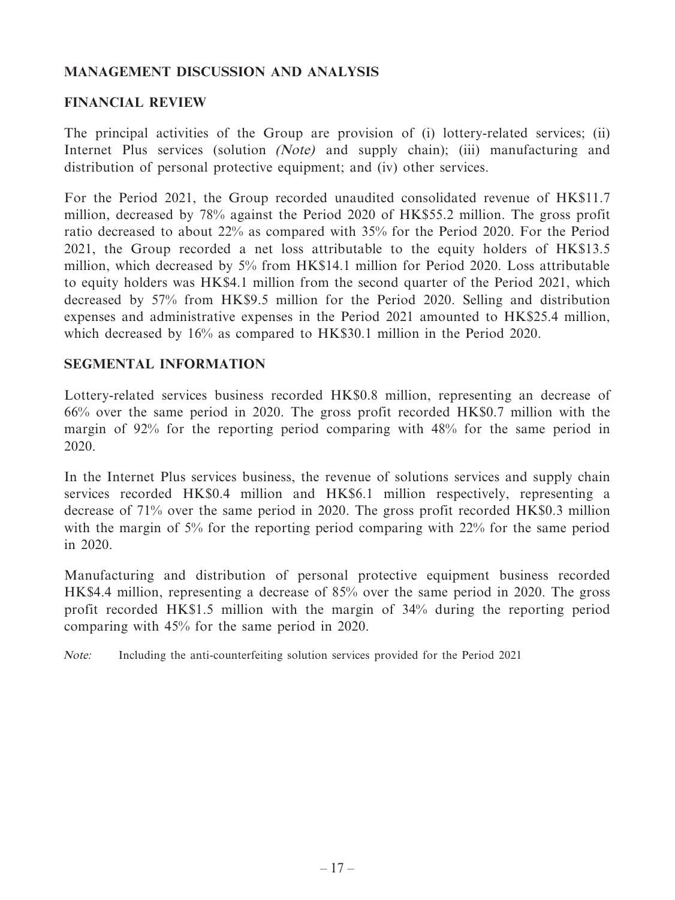# **MANAGEMENT DISCUSSION AND ANALYSIS**

### **FINANCIAL REVIEW**

The principal activities of the Group are provision of (i) lottery-related services; (ii) Internet Plus services (solution *(Note)* and supply chain); (iii) manufacturing and distribution of personal protective equipment; and (iv) other services.

For the Period 2021, the Group recorded unaudited consolidated revenue of HK\$11.7 million, decreased by 78% against the Period 2020 of HK\$55.2 million. The gross profit ratio decreased to about 22% as compared with 35% for the Period 2020. For the Period 2021, the Group recorded a net loss attributable to the equity holders of HK\$13.5 million, which decreased by 5% from HK\$14.1 million for Period 2020. Loss attributable to equity holders was HK\$4.1 million from the second quarter of the Period 2021, which decreased by 57% from HK\$9.5 million for the Period 2020. Selling and distribution expenses and administrative expenses in the Period 2021 amounted to HK\$25.4 million, which decreased by 16% as compared to HK\$30.1 million in the Period 2020.

### **SEGMENTAL INFORMATION**

Lottery-related services business recorded HK\$0.8 million, representing an decrease of 66% over the same period in 2020. The gross profit recorded HK\$0.7 million with the margin of 92% for the reporting period comparing with 48% for the same period in 2020.

In the Internet Plus services business, the revenue of solutions services and supply chain services recorded HK\$0.4 million and HK\$6.1 million respectively, representing a decrease of 71% over the same period in 2020. The gross profit recorded HK\$0.3 million with the margin of 5% for the reporting period comparing with 22% for the same period in 2020.

Manufacturing and distribution of personal protective equipment business recorded HK\$4.4 million, representing a decrease of 85% over the same period in 2020. The gross profit recorded HK\$1.5 million with the margin of 34% during the reporting period comparing with 45% for the same period in 2020.

Note: Including the anti-counterfeiting solution services provided for the Period 2021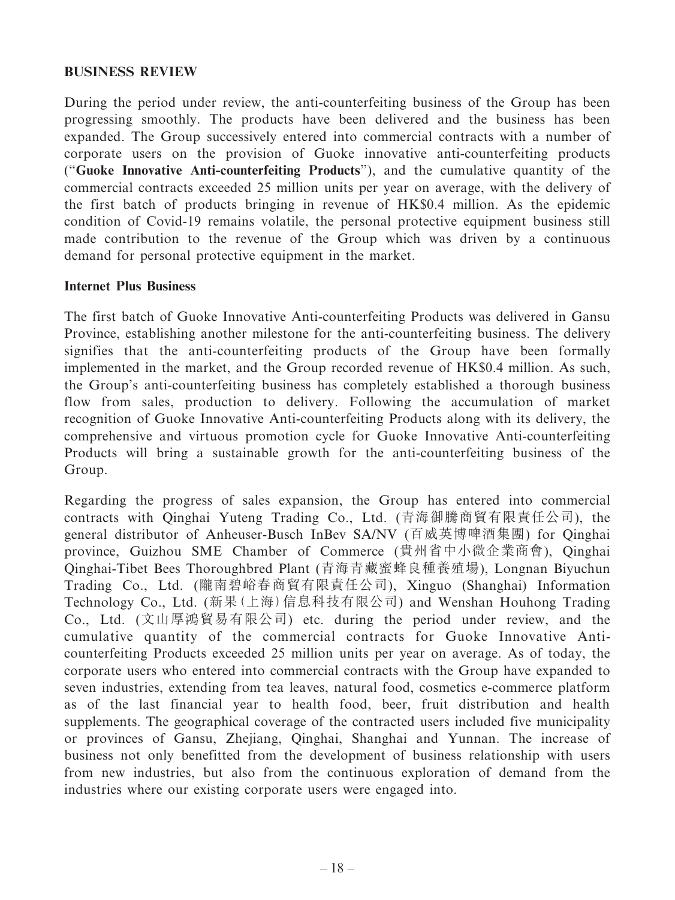### **BUSINESS REVIEW**

During the period under review, the anti-counterfeiting business of the Group has been progressing smoothly. The products have been delivered and the business has been expanded. The Group successively entered into commercial contracts with a number of corporate users on the provision of Guoke innovative anti-counterfeiting products ("**Guoke Innovative Anti-counterfeiting Products**"), and the cumulative quantity of the commercial contracts exceeded 25 million units per year on average, with the delivery of the first batch of products bringing in revenue of HK\$0.4 million. As the epidemic condition of Covid-19 remains volatile, the personal protective equipment business still made contribution to the revenue of the Group which was driven by a continuous demand for personal protective equipment in the market.

#### **Internet Plus Business**

The first batch of Guoke Innovative Anti-counterfeiting Products was delivered in Gansu Province, establishing another milestone for the anti-counterfeiting business. The delivery signifies that the anti-counterfeiting products of the Group have been formally implemented in the market, and the Group recorded revenue of HK\$0.4 million. As such, the Group's anti-counterfeiting business has completely established a thorough business flow from sales, production to delivery. Following the accumulation of market recognition of Guoke Innovative Anti-counterfeiting Products along with its delivery, the comprehensive and virtuous promotion cycle for Guoke Innovative Anti-counterfeiting Products will bring a sustainable growth for the anti-counterfeiting business of the Group.

Regarding the progress of sales expansion, the Group has entered into commercial contracts with Qinghai Yuteng Trading Co., Ltd. (青海御騰商貿有限責任公司), the general distributor of Anheuser-Busch InBev SA/NV (百威英博啤酒集團) for Qinghai province, Guizhou SME Chamber of Commerce (貴州省中小微企業商會), Qinghai Qinghai-Tibet Bees Thoroughbred Plant (青海青藏蜜蜂良種養殖場), Longnan Biyuchun Trading Co., Ltd. (隴南碧峪春商貿有限責任公司), Xinguo (Shanghai) Information Technology Co., Ltd. (新果(上海)信息科技有限公司) and Wenshan Houhong Trading Co., Ltd. (文山厚鴻貿易有限公司) etc. during the period under review, and the cumulative quantity of the commercial contracts for Guoke Innovative Anticounterfeiting Products exceeded 25 million units per year on average. As of today, the corporate users who entered into commercial contracts with the Group have expanded to seven industries, extending from tea leaves, natural food, cosmetics e-commerce platform as of the last financial year to health food, beer, fruit distribution and health supplements. The geographical coverage of the contracted users included five municipality or provinces of Gansu, Zhejiang, Qinghai, Shanghai and Yunnan. The increase of business not only benefitted from the development of business relationship with users from new industries, but also from the continuous exploration of demand from the industries where our existing corporate users were engaged into.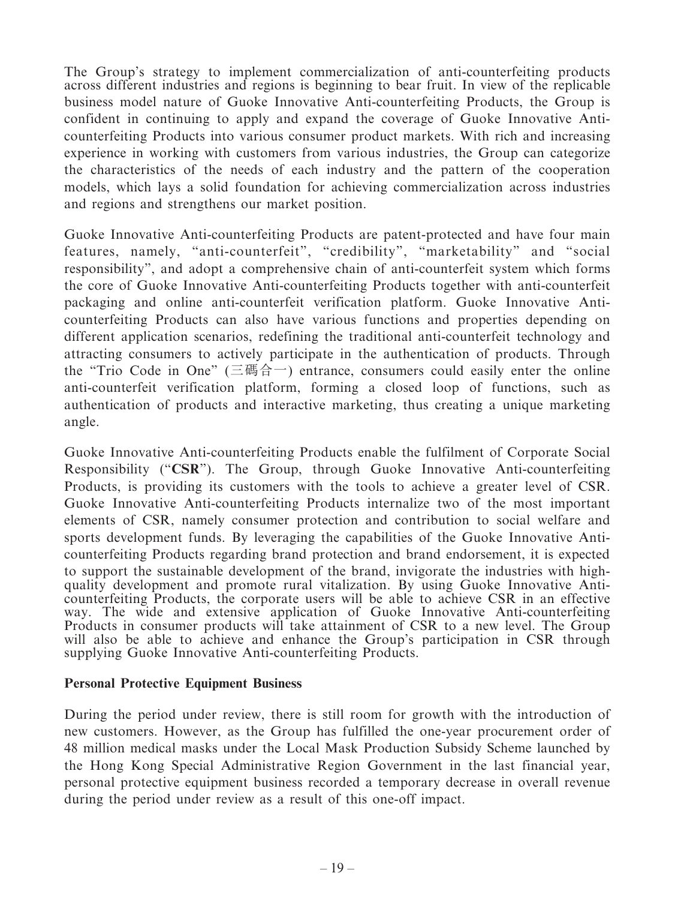The Group's strategy to implement commercialization of anti-counterfeiting products across different industries and regions is beginning to bear fruit. In view of the replicable business model nature of Guoke Innovative Anti-counterfeiting Products, the Group is confident in continuing to apply and expand the coverage of Guoke Innovative Anticounterfeiting Products into various consumer product markets. With rich and increasing experience in working with customers from various industries, the Group can categorize the characteristics of the needs of each industry and the pattern of the cooperation models, which lays a solid foundation for achieving commercialization across industries and regions and strengthens our market position.

Guoke Innovative Anti-counterfeiting Products are patent-protected and have four main features, namely, "anti-counterfeit", "credibility", "marketability" and "social responsibility", and adopt a comprehensive chain of anti-counterfeit system which forms the core of Guoke Innovative Anti-counterfeiting Products together with anti-counterfeit packaging and online anti-counterfeit verification platform. Guoke Innovative Anticounterfeiting Products can also have various functions and properties depending on different application scenarios, redefining the traditional anti-counterfeit technology and attracting consumers to actively participate in the authentication of products. Through the "Trio Code in One" (三碼合一) entrance, consumers could easily enter the online anti-counterfeit verification platform, forming a closed loop of functions, such as authentication of products and interactive marketing, thus creating a unique marketing angle.

Guoke Innovative Anti-counterfeiting Products enable the fulfilment of Corporate Social Responsibility ("**CSR**"). The Group, through Guoke Innovative Anti-counterfeiting Products, is providing its customers with the tools to achieve a greater level of CSR. Guoke Innovative Anti-counterfeiting Products internalize two of the most important elements of CSR, namely consumer protection and contribution to social welfare and sports development funds. By leveraging the capabilities of the Guoke Innovative Anticounterfeiting Products regarding brand protection and brand endorsement, it is expected to support the sustainable development of the brand, invigorate the industries with highquality development and promote rural vitalization. By using Guoke Innovative Anticounterfeiting Products, the corporate users will be able to achieve CSR in an effective way. The wide and extensive application of Guoke Innovative Anti-counterfeiting Products in consumer products will take attainment of CSR to a new level. The Group will also be able to achieve and enhance the Group's participation in CSR through supplying Guoke Innovative Anti-counterfeiting Products.

#### **Personal Protective Equipment Business**

During the period under review, there is still room for growth with the introduction of new customers. However, as the Group has fulfilled the one-year procurement order of 48 million medical masks under the Local Mask Production Subsidy Scheme launched by the Hong Kong Special Administrative Region Government in the last financial year, personal protective equipment business recorded a temporary decrease in overall revenue during the period under review as a result of this one-off impact.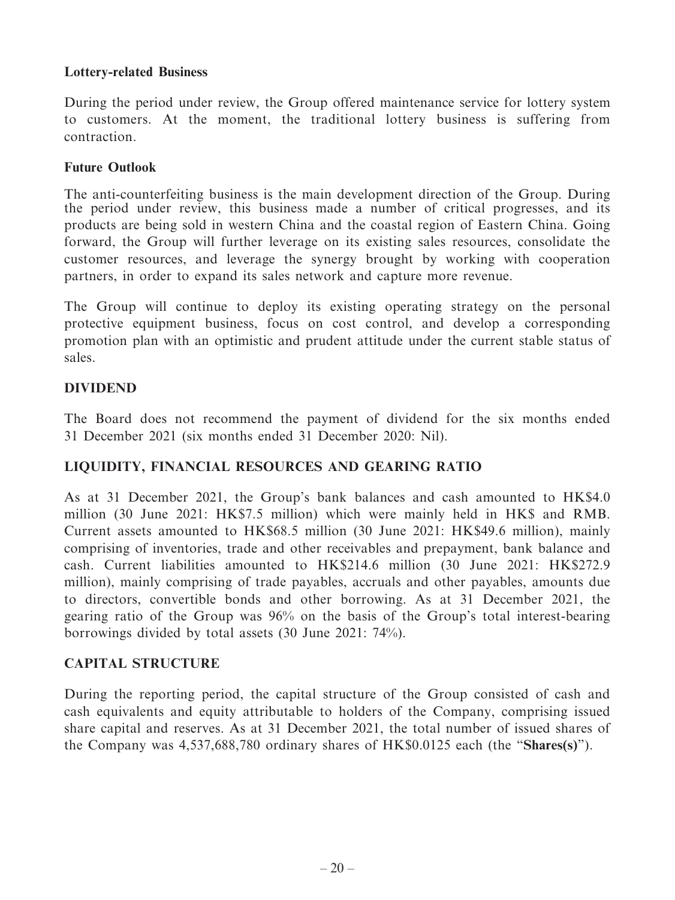### **Lottery-related Business**

During the period under review, the Group offered maintenance service for lottery system to customers. At the moment, the traditional lottery business is suffering from contraction.

## **Future Outlook**

The anti-counterfeiting business is the main development direction of the Group. During the period under review, this business made a number of critical progresses, and its products are being sold in western China and the coastal region of Eastern China. Going forward, the Group will further leverage on its existing sales resources, consolidate the customer resources, and leverage the synergy brought by working with cooperation partners, in order to expand its sales network and capture more revenue.

The Group will continue to deploy its existing operating strategy on the personal protective equipment business, focus on cost control, and develop a corresponding promotion plan with an optimistic and prudent attitude under the current stable status of sales.

# **DIVIDEND**

The Board does not recommend the payment of dividend for the six months ended 31 December 2021 (six months ended 31 December 2020: Nil).

# **LIQUIDITY, FINANCIAL RESOURCES AND GEARING RATIO**

As at 31 December 2021, the Group's bank balances and cash amounted to HK\$4.0 million (30 June 2021: HK\$7.5 million) which were mainly held in HK\$ and RMB. Current assets amounted to HK\$68.5 million (30 June 2021: HK\$49.6 million), mainly comprising of inventories, trade and other receivables and prepayment, bank balance and cash. Current liabilities amounted to HK\$214.6 million (30 June 2021: HK\$272.9 million), mainly comprising of trade payables, accruals and other payables, amounts due to directors, convertible bonds and other borrowing. As at 31 December 2021, the gearing ratio of the Group was 96% on the basis of the Group's total interest-bearing borrowings divided by total assets (30 June 2021: 74%).

# **CAPITAL STRUCTURE**

During the reporting period, the capital structure of the Group consisted of cash and cash equivalents and equity attributable to holders of the Company, comprising issued share capital and reserves. As at 31 December 2021, the total number of issued shares of the Company was 4,537,688,780 ordinary shares of HK\$0.0125 each (the "**Shares(s)**").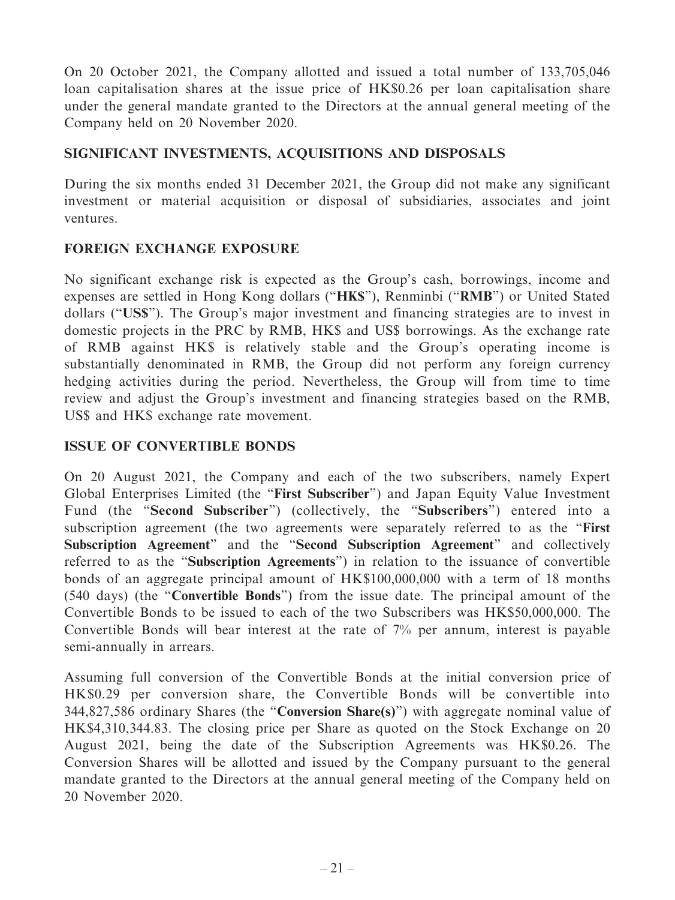On 20 October 2021, the Company allotted and issued a total number of 133,705,046 loan capitalisation shares at the issue price of HK\$0.26 per loan capitalisation share under the general mandate granted to the Directors at the annual general meeting of the Company held on 20 November 2020.

# **SIGNIFICANT INVESTMENTS, ACQUISITIONS AND DISPOSALS**

During the six months ended 31 December 2021, the Group did not make any significant investment or material acquisition or disposal of subsidiaries, associates and joint ventures.

# **FOREIGN EXCHANGE EXPOSURE**

No significant exchange risk is expected as the Group's cash, borrowings, income and expenses are settled in Hong Kong dollars ("**HK\$**"), Renminbi ("**RMB**") or United Stated dollars ("**US\$**"). The Group's major investment and financing strategies are to invest in domestic projects in the PRC by RMB, HK\$ and US\$ borrowings. As the exchange rate of RMB against HK\$ is relatively stable and the Group's operating income is substantially denominated in RMB, the Group did not perform any foreign currency hedging activities during the period. Nevertheless, the Group will from time to time review and adjust the Group's investment and financing strategies based on the RMB, US\$ and HK\$ exchange rate movement.

### **ISSUE OF CONVERTIBLE BONDS**

On 20 August 2021, the Company and each of the two subscribers, namely Expert Global Enterprises Limited (the "**First Subscriber**") and Japan Equity Value Investment Fund (the "**Second Subscriber**") (collectively, the "**Subscribers**") entered into a subscription agreement (the two agreements were separately referred to as the "**First Subscription Agreement**" and the "**Second Subscription Agreement**" and collectively referred to as the "**Subscription Agreements**") in relation to the issuance of convertible bonds of an aggregate principal amount of HK\$100,000,000 with a term of 18 months (540 days) (the "**Convertible Bonds**") from the issue date. The principal amount of the Convertible Bonds to be issued to each of the two Subscribers was HK\$50,000,000. The Convertible Bonds will bear interest at the rate of 7% per annum, interest is payable semi-annually in arrears.

Assuming full conversion of the Convertible Bonds at the initial conversion price of HK\$0.29 per conversion share, the Convertible Bonds will be convertible into 344,827,586 ordinary Shares (the "**Conversion Share(s)**") with aggregate nominal value of HK\$4,310,344.83. The closing price per Share as quoted on the Stock Exchange on 20 August 2021, being the date of the Subscription Agreements was HK\$0.26. The Conversion Shares will be allotted and issued by the Company pursuant to the general mandate granted to the Directors at the annual general meeting of the Company held on 20 November 2020.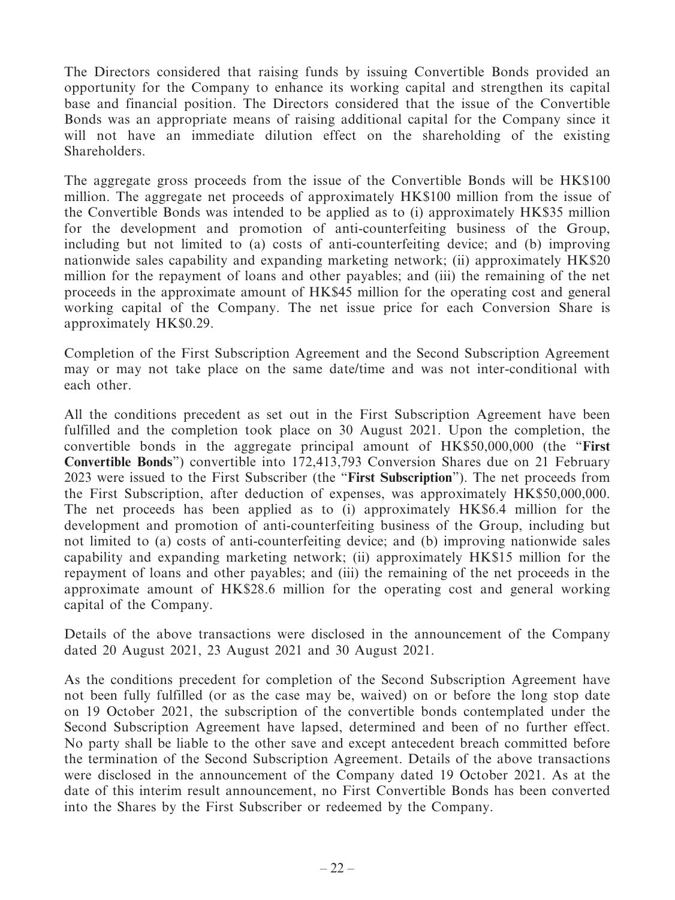The Directors considered that raising funds by issuing Convertible Bonds provided an opportunity for the Company to enhance its working capital and strengthen its capital base and financial position. The Directors considered that the issue of the Convertible Bonds was an appropriate means of raising additional capital for the Company since it will not have an immediate dilution effect on the shareholding of the existing Shareholders.

The aggregate gross proceeds from the issue of the Convertible Bonds will be HK\$100 million. The aggregate net proceeds of approximately HK\$100 million from the issue of the Convertible Bonds was intended to be applied as to (i) approximately HK\$35 million for the development and promotion of anti-counterfeiting business of the Group, including but not limited to (a) costs of anti-counterfeiting device; and (b) improving nationwide sales capability and expanding marketing network; (ii) approximately HK\$20 million for the repayment of loans and other payables; and (iii) the remaining of the net proceeds in the approximate amount of HK\$45 million for the operating cost and general working capital of the Company. The net issue price for each Conversion Share is approximately HK\$0.29.

Completion of the First Subscription Agreement and the Second Subscription Agreement may or may not take place on the same date/time and was not inter-conditional with each other.

All the conditions precedent as set out in the First Subscription Agreement have been fulfilled and the completion took place on 30 August 2021. Upon the completion, the convertible bonds in the aggregate principal amount of HK\$50,000,000 (the "**First Convertible Bonds**") convertible into 172,413,793 Conversion Shares due on 21 February 2023 were issued to the First Subscriber (the "**First Subscription**"). The net proceeds from the First Subscription, after deduction of expenses, was approximately HK\$50,000,000. The net proceeds has been applied as to (i) approximately HK\$6.4 million for the development and promotion of anti-counterfeiting business of the Group, including but not limited to (a) costs of anti-counterfeiting device; and (b) improving nationwide sales capability and expanding marketing network; (ii) approximately HK\$15 million for the repayment of loans and other payables; and (iii) the remaining of the net proceeds in the approximate amount of HK\$28.6 million for the operating cost and general working capital of the Company.

Details of the above transactions were disclosed in the announcement of the Company dated 20 August 2021, 23 August 2021 and 30 August 2021.

As the conditions precedent for completion of the Second Subscription Agreement have not been fully fulfilled (or as the case may be, waived) on or before the long stop date on 19 October 2021, the subscription of the convertible bonds contemplated under the Second Subscription Agreement have lapsed, determined and been of no further effect. No party shall be liable to the other save and except antecedent breach committed before the termination of the Second Subscription Agreement. Details of the above transactions were disclosed in the announcement of the Company dated 19 October 2021. As at the date of this interim result announcement, no First Convertible Bonds has been converted into the Shares by the First Subscriber or redeemed by the Company.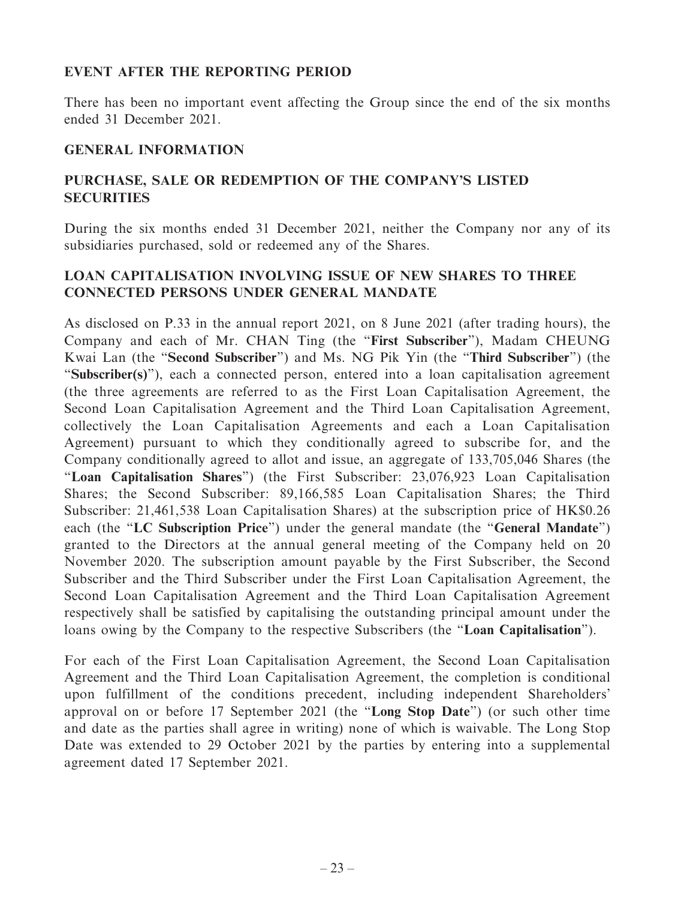### **EVENT AFTER THE REPORTING PERIOD**

There has been no important event affecting the Group since the end of the six months ended 31 December 2021.

# **GENERAL INFORMATION**

# **PURCHASE, SALE OR REDEMPTION OF THE COMPANY'S LISTED SECURITIES**

During the six months ended 31 December 2021, neither the Company nor any of its subsidiaries purchased, sold or redeemed any of the Shares.

# **LOAN CAPITALISATION INVOLVING ISSUE OF NEW SHARES TO THREE CONNECTED PERSONS UNDER GENERAL MANDATE**

As disclosed on P.33 in the annual report 2021, on 8 June 2021 (after trading hours), the Company and each of Mr. CHAN Ting (the "**First Subscriber**"), Madam CHEUNG Kwai Lan (the "**Second Subscriber**") and Ms. NG Pik Yin (the "**Third Subscriber**") (the "**Subscriber(s)**"), each a connected person, entered into a loan capitalisation agreement (the three agreements are referred to as the First Loan Capitalisation Agreement, the Second Loan Capitalisation Agreement and the Third Loan Capitalisation Agreement, collectively the Loan Capitalisation Agreements and each a Loan Capitalisation Agreement) pursuant to which they conditionally agreed to subscribe for, and the Company conditionally agreed to allot and issue, an aggregate of 133,705,046 Shares (the "**Loan Capitalisation Shares**") (the First Subscriber: 23,076,923 Loan Capitalisation Shares; the Second Subscriber: 89,166,585 Loan Capitalisation Shares; the Third Subscriber: 21,461,538 Loan Capitalisation Shares) at the subscription price of HK\$0.26 each (the "**LC Subscription Price**") under the general mandate (the "**General Mandate**") granted to the Directors at the annual general meeting of the Company held on 20 November 2020. The subscription amount payable by the First Subscriber, the Second Subscriber and the Third Subscriber under the First Loan Capitalisation Agreement, the Second Loan Capitalisation Agreement and the Third Loan Capitalisation Agreement respectively shall be satisfied by capitalising the outstanding principal amount under the loans owing by the Company to the respective Subscribers (the "**Loan Capitalisation**").

For each of the First Loan Capitalisation Agreement, the Second Loan Capitalisation Agreement and the Third Loan Capitalisation Agreement, the completion is conditional upon fulfillment of the conditions precedent, including independent Shareholders' approval on or before 17 September 2021 (the "**Long Stop Date**") (or such other time and date as the parties shall agree in writing) none of which is waivable. The Long Stop Date was extended to 29 October 2021 by the parties by entering into a supplemental agreement dated 17 September 2021.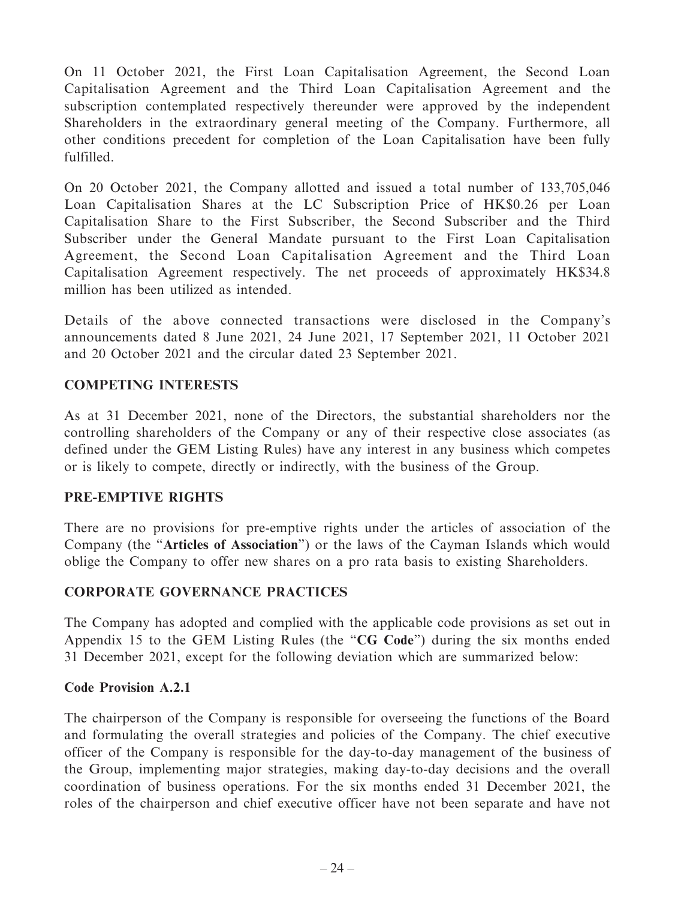On 11 October 2021, the First Loan Capitalisation Agreement, the Second Loan Capitalisation Agreement and the Third Loan Capitalisation Agreement and the subscription contemplated respectively thereunder were approved by the independent Shareholders in the extraordinary general meeting of the Company. Furthermore, all other conditions precedent for completion of the Loan Capitalisation have been fully fulfilled.

On 20 October 2021, the Company allotted and issued a total number of 133,705,046 Loan Capitalisation Shares at the LC Subscription Price of HK\$0.26 per Loan Capitalisation Share to the First Subscriber, the Second Subscriber and the Third Subscriber under the General Mandate pursuant to the First Loan Capitalisation Agreement, the Second Loan Capitalisation Agreement and the Third Loan Capitalisation Agreement respectively. The net proceeds of approximately HK\$34.8 million has been utilized as intended.

Details of the above connected transactions were disclosed in the Company's announcements dated 8 June 2021, 24 June 2021, 17 September 2021, 11 October 2021 and 20 October 2021 and the circular dated 23 September 2021.

### **COMPETING INTERESTS**

As at 31 December 2021, none of the Directors, the substantial shareholders nor the controlling shareholders of the Company or any of their respective close associates (as defined under the GEM Listing Rules) have any interest in any business which competes or is likely to compete, directly or indirectly, with the business of the Group.

### **PRE-EMPTIVE RIGHTS**

There are no provisions for pre-emptive rights under the articles of association of the Company (the "**Articles of Association**") or the laws of the Cayman Islands which would oblige the Company to offer new shares on a pro rata basis to existing Shareholders.

### **CORPORATE GOVERNANCE PRACTICES**

The Company has adopted and complied with the applicable code provisions as set out in Appendix 15 to the GEM Listing Rules (the "**CG Code**") during the six months ended 31 December 2021, except for the following deviation which are summarized below:

#### **Code Provision A.2.1**

The chairperson of the Company is responsible for overseeing the functions of the Board and formulating the overall strategies and policies of the Company. The chief executive officer of the Company is responsible for the day-to-day management of the business of the Group, implementing major strategies, making day-to-day decisions and the overall coordination of business operations. For the six months ended 31 December 2021, the roles of the chairperson and chief executive officer have not been separate and have not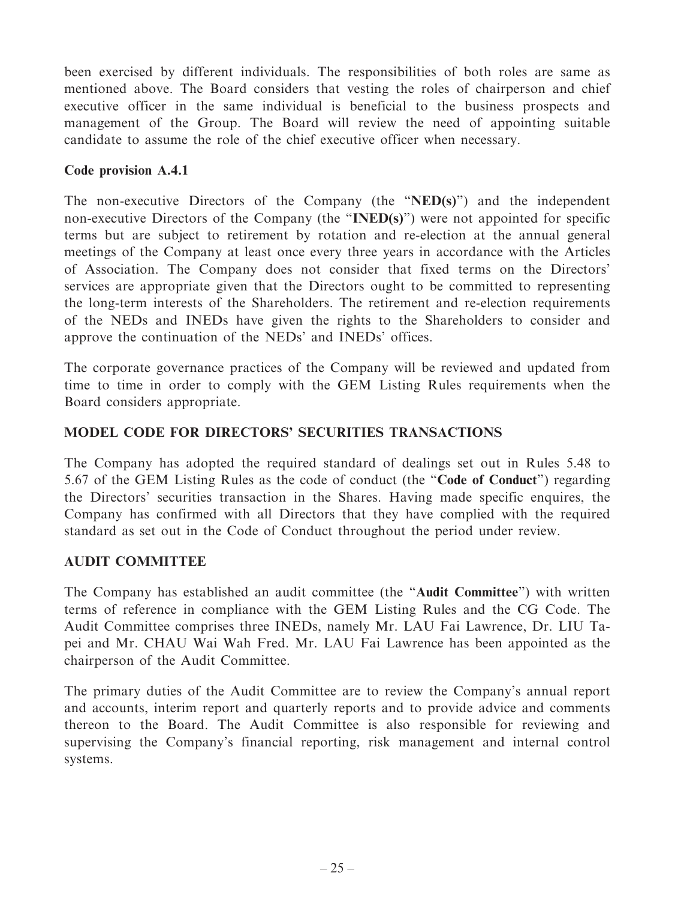been exercised by different individuals. The responsibilities of both roles are same as mentioned above. The Board considers that vesting the roles of chairperson and chief executive officer in the same individual is beneficial to the business prospects and management of the Group. The Board will review the need of appointing suitable candidate to assume the role of the chief executive officer when necessary.

## **Code provision A.4.1**

The non-executive Directors of the Company (the "**NED(s)**") and the independent non-executive Directors of the Company (the "**INED(s)**") were not appointed for specific terms but are subject to retirement by rotation and re-election at the annual general meetings of the Company at least once every three years in accordance with the Articles of Association. The Company does not consider that fixed terms on the Directors' services are appropriate given that the Directors ought to be committed to representing the long-term interests of the Shareholders. The retirement and re-election requirements of the NEDs and INEDs have given the rights to the Shareholders to consider and approve the continuation of the NEDs' and INEDs' offices.

The corporate governance practices of the Company will be reviewed and updated from time to time in order to comply with the GEM Listing Rules requirements when the Board considers appropriate.

# **MODEL CODE FOR DIRECTORS' SECURITIES TRANSACTIONS**

The Company has adopted the required standard of dealings set out in Rules 5.48 to 5.67 of the GEM Listing Rules as the code of conduct (the "**Code of Conduct**") regarding the Directors' securities transaction in the Shares. Having made specific enquires, the Company has confirmed with all Directors that they have complied with the required standard as set out in the Code of Conduct throughout the period under review.

### **AUDIT COMMITTEE**

The Company has established an audit committee (the "**Audit Committee**") with written terms of reference in compliance with the GEM Listing Rules and the CG Code. The Audit Committee comprises three INEDs, namely Mr. LAU Fai Lawrence, Dr. LIU Tapei and Mr. CHAU Wai Wah Fred. Mr. LAU Fai Lawrence has been appointed as the chairperson of the Audit Committee.

The primary duties of the Audit Committee are to review the Company's annual report and accounts, interim report and quarterly reports and to provide advice and comments thereon to the Board. The Audit Committee is also responsible for reviewing and supervising the Company's financial reporting, risk management and internal control systems.